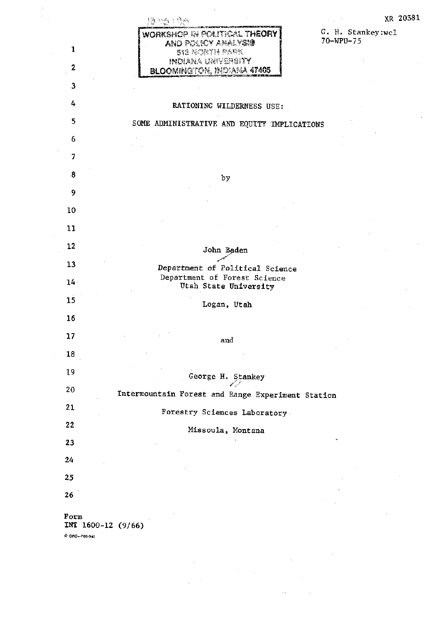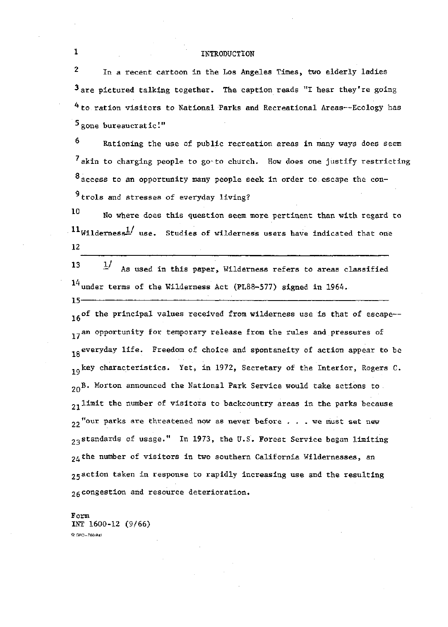## INTRODUCTION

 $\overline{2}$ In a recent cartoon in the Los Angeles Times, two elderly ladies  $3$  are pictured talking together. The caption reads "I hear they're going 4 to ration visitors to National Parks and Recreational Areas--Ecology has  $5$  gone bureaucratic!"

6 Rationing the use of public recreation areas in many ways does seem  $7$  akin to charging people to goto church. How does one justify restricting 8 access to an opportunity many people seek in order to escape the con- $9$  trols and stresses of everyday living?

10 No where does this question seem more pertinent than with regard to  $11$ Wilderness<sup>1</sup>/ use. Studies of wilderness users have indicated that one 12

13  $1/$ As used in this paper, Wilderness refers to areas classified  $14$  under terms of the Wilderness Act (PL88-577) signed in 1964.

16<sup>of</sup> the principal values received from wilderness use is that of escape--17<sup>an</sup> opportunity for temporary release from the rules and pressures of 18 everyday life. Freedom of choice and spontaneity of action appear to be  $19$ <sup>key</sup> characteristics. Yet, in 1972, Secretary of the Interior, Rogers C. 20B. Morton announced the National Park Service would take actions to.  $_{21}$ limit the number of visitors to backcountry areas in the parks because  $22$  "our parks are threatened now as never before . . . we must set new 23 standards of usage." In 1973, the U.S. Forest Service began limiting  $24$  the number of visitors in two southern California Wildernesses, an 25 action taken in response to rapidly increasing use and the resulting 26 congestion and resource deterioration.

Form INT 1600-12 (9/66) ☆ GPO-780-941

 $\mathbf{1}$ 

 $15 -$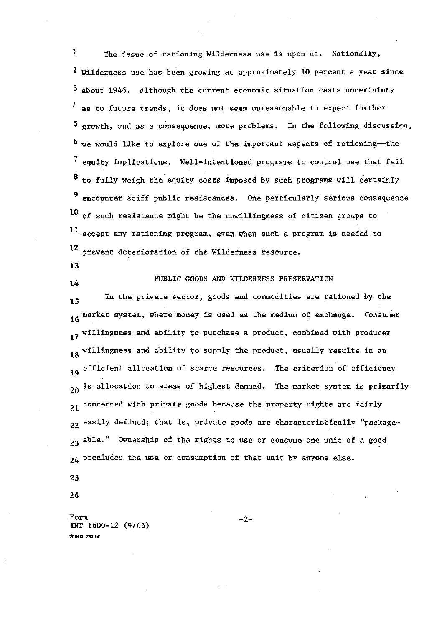$\mathbf{1}$ The issue of rationing Wilderness use is upon us. Nationally,  $2$  Wilderness use has been growing at approximately 10 percent a year since  $3$  about 1946. Although the current economic situation casts uncertainty  $4$  as to future trends, it does not seem unreasonable to expect further  $5$  growth, and as a consequence, more problems. In the following discussion,  $<sup>6</sup>$  we would like to explore one of the important aspects of rationing--the</sup> 7 equity implications. Well-intentioned programs to control use that fail  $8$  to fully weigh the equity costs imposed by such programs will certainly  $9$  encounter stiff public resistances. One particularly serious consequence 10 of such resistance might be the unwillingness of citizen groups to 11 accept any rationing program, even when such a program is needed to 12 prevent deterioration of the Wilderness resource.

13

 $14$ 

PUBLIC GOODS AND WILDERNESS PRESERVATION

In the private sector, goods and commodities are rationed by the 15 16 market system, where money is used as the medium of exchange. Consumer 17 willingness and ability to purchase a product, combined with producer 18 willingness and ability to supply the product, usually results in an 19 efficient allocation of scarce resources. The criterion of efficiency  $20$  is allocation to areas of highest demand. The market system is primarily 21 concerned with private goods because the property rights are fairly 22 easily defined; that is, private goods are characteristically "package-23 able." Ownership of the rights to use or consume one unit of a good 24 precludes the use or consumption of that unit by anyone else.

25

26

Form INT 1600-12 (9/66)  $400 - 780.941$ 

 $-2-$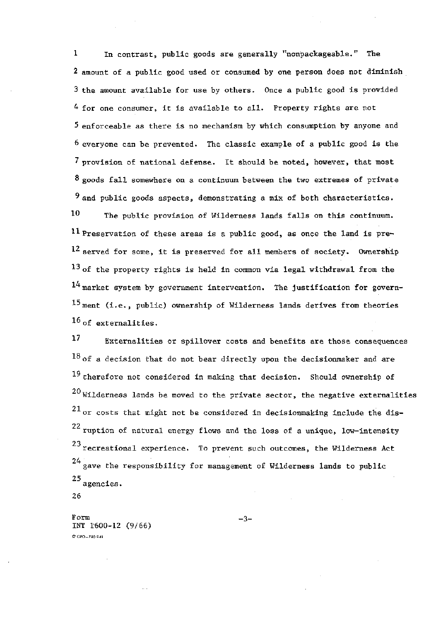$\mathbf{1}$ In contrast, public goods are generally "nonpackageable." The 2 amount of a public good used or consumed by one person does not diminish 3 the amount available for use by others. Once a public good is provided 4 for one consumer, it is available to all. Property rights are not 5 enforceable as there is no mechanism by which consumption by anyone and  $6$  everyone can be prevented. The classic example of a public good is the 7 provision of national defense. It should be noted, however, that most  $8$  goods fall somewhere on a continuum between the two extremes of private  $9$  and public goods aspects, demonstrating a mix of both characteristics.

10 The public provision of Wilderness lands falls on this continuum. <sup>11</sup> Preservation of these areas is a public good, as once the land is pre-12 served for some. it is preserved for all members of society. Ownership  $^{13}$  of the property rights is held in common via legal withdrawal from the  $14$  market system by government intervention. The justification for govern-15 ment (i.e., public) ownership of Wilderness lands derives from theories  $16$  of externalities.

17 Externalities or spillover costs and benefits are those consequences  $18$  of a decision that do not bear directly upon the decisionmaker and are  $^{19}$  therefore not considered in making that decision. Should ownership of  $20$ Wilderness lands be moved to the private sector, the negative externalities  $21$  or costs that might not be considered in decisionmaking include the dis- $22$  ruption of natural energy flows and the loss of a unique, low-intensity  $^{23}$  recreational experience. To prevent such outcomes, the Wilderness Act  $24$  gave the responsibility for management of Wilderness lands to public  $^{\rm 25}$  agencies.

26

Form INT 1600-12 (9/66) \* GPO-780-941

 $-3-$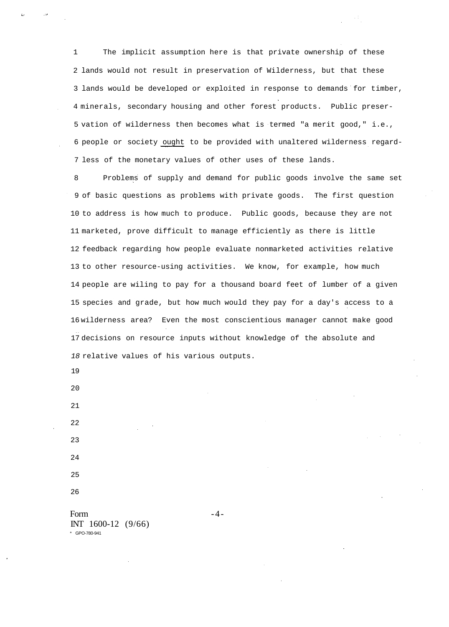1 The implicit assumption here is that private ownership of these 2 lands would not result in preservation of Wilderness, but that these 3 lands would be developed or exploited in response to demands for timber, 4 minerals, secondary housing and other forest products. Public preser-5 vation of wilderness then becomes what is termed "a merit good," i.e., 6 people or society ought to be provided with unaltered wilderness regard-7 less of the monetary values of other uses of these lands.

8 Problems of supply and demand for public goods involve the same set 9 of basic questions as problems with private goods. The first question 10 to address is how much to produce. Public goods, because they are not 11 marketed, prove difficult to manage efficiently as there is little 12 feedback regarding how people evaluate nonmarketed activities relative 13 to other resource-using activities. We know, for example, how much 14 people are wiling to pay for a thousand board feet of lumber of a given 15 species and grade, but how much would they pay for a day's access to a 16 wilderness area? Even the most conscientious manager cannot make good 17 decisions on resource inputs without knowledge of the absolute and 18 relative values of his various outputs.

19

20 21

26

Form  $-4$  -INT 1600-12 (9/66) \* GPO-780-941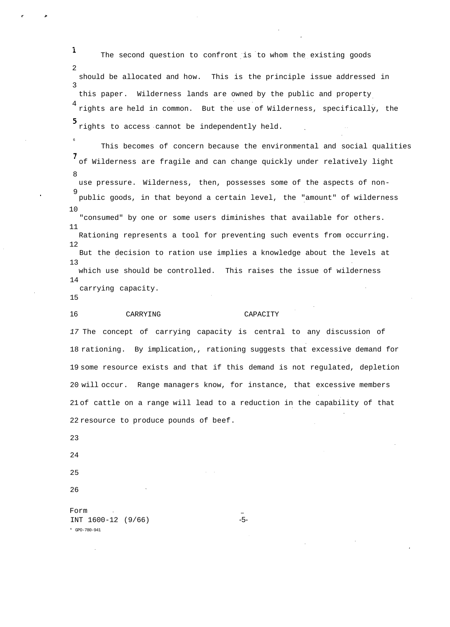The second question to confront is to whom the existing goods 2 should be allocated and how. This is the principle issue addressed in 3 this paper. Wilderness lands are owned by the public and property 4 rights are held in common. But the use of Wilderness, specifically, the rights to access cannot be independently held.

This becomes of concern because the environmental and social qualities of Wilderness are fragile and can change quickly under relatively light 8 use pressure. Wilderness, then, possesses some of the aspects of non-9 public goods, in that beyond a certain level, the "amount" of wilderness 10 "consumed" by one or some users diminishes that available for others. 11 Rationing represents a tool for preventing such events from occurring. 12 But the decision to ration use implies a knowledge about the levels at 13 which use should be controlled. This raises the issue of wilderness

carrying capacity.

15

14

6

 $\mathbf{1}$ 

16 CARRYING CAPACITY

17 The concept of carrying capacity is central to any discussion of 18 rationing. By implication,, rationing suggests that excessive demand for 19 some resource exists and that if this demand is not regulated, depletion 20 will occur. Range managers know, for instance, that excessive members 21 of cattle on a range will lead to a reduction in the capability of that 22 resource to produce pounds of beef.

23

24 25

26

Form INT 1600-12 (9/66) -5- \* GPO-780-941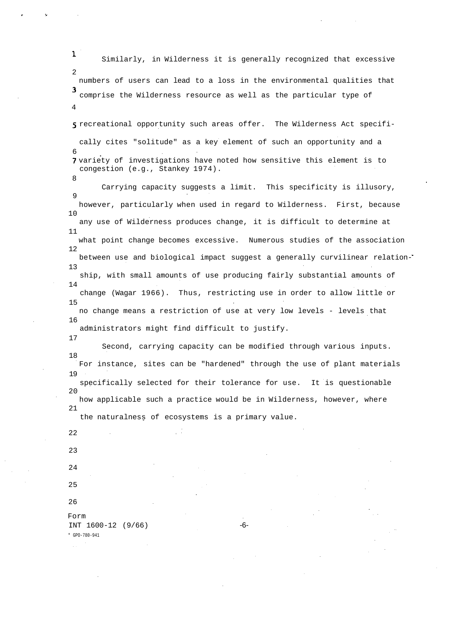1 Similarly, in Wilderness it is generally recognized that excessive  $\mathcal{D}$ numbers of users can lead to a loss in the environmental qualities that comprise the Wilderness resource as well as the particular type of 4 5 recreational opportunity such areas offer. The Wilderness Act specifically cites "solitude" as a key element of such an opportunity and a 6 7 variety of investigations have noted how sensitive this element is to congestion (e.g., Stankey 1974). 8 Carrying capacity suggests a limit. This specificity is illusory,  $\circ$ however, particularly when used in regard to Wilderness. First, because 10 any use of Wilderness produces change, it is difficult to determine at 11 what point change becomes excessive. Numerous studies of the association 12 between use and biological impact suggest a generally curvilinear relation-13 ship, with small amounts of use producing fairly substantial amounts of 14 change (Wagar 1966). Thus, restricting use in order to allow little or 15 no change means a restriction of use at very low levels - levels that 16 administrators might find difficult to justify. 17 Second, carrying capacity can be modified through various inputs. 18 For instance, sites can be "hardened" through the use of plant materials 19 specifically selected for their tolerance for use. It is questionable 20 how applicable such a practice would be in Wilderness, however, where 21 the naturalness of ecosystems is a primary value. 22 23 24 25 26 Form INT 1600-12 (9/66) -6-\* GPO-780-941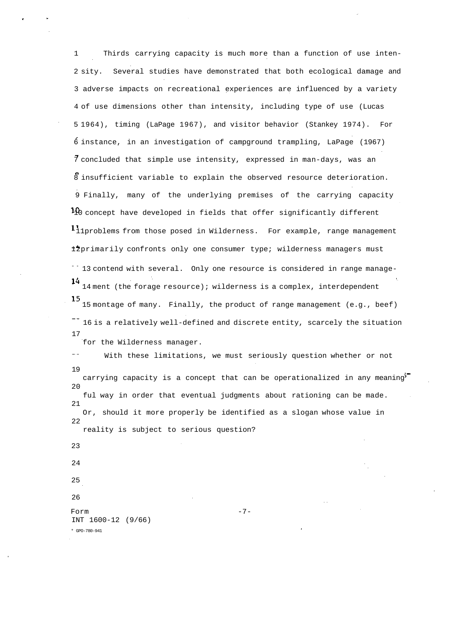1 Thirds carrying capacity is much more than a function of use inten-2 sity. Several studies have demonstrated that both ecological damage and 3 adverse impacts on recreational experiences are influenced by a variety 4 of use dimensions other than intensity, including type of use (Lucas 5 1964), timing (LaPage 1967), and visitor behavior (Stankey 1974). For 6 instance, in an investigation of campground trampling, LaPage (1967) 7 concluded that simple use intensity, expressed in man-days, was an 8 insufficient variable to explain the observed resource deterioration. 9 Finally, many of the underlying premises of the carrying capacity  $10$  concept have developed in fields that offer significantly different 11problems from those posed in Wilderness. For example, range management 12primarily confronts only one consumer type; wilderness managers must 13 contend with several. Only one resource is considered in range manage-14 ment (the forage resource); wilderness is a complex, interdependent 15 montage of many. Finally, the product of range management (e.g., beef) <sup>--</sup> 16 is a relatively well-defined and discrete entity, scarcely the situation 17 for the Wilderness manager. With these limitations, we must seriously question whether or not 19

carrying capacity is a concept that can be operationalized in any meaning"  $2.0$ ful way in order that eventual judgments about rationing can be made. 21 Or, should it more properly be identified as a slogan whose value in 22 reality is subject to serious question?

Form  $-7$ -INT 1600-12 (9/66)

\* GPO-780-941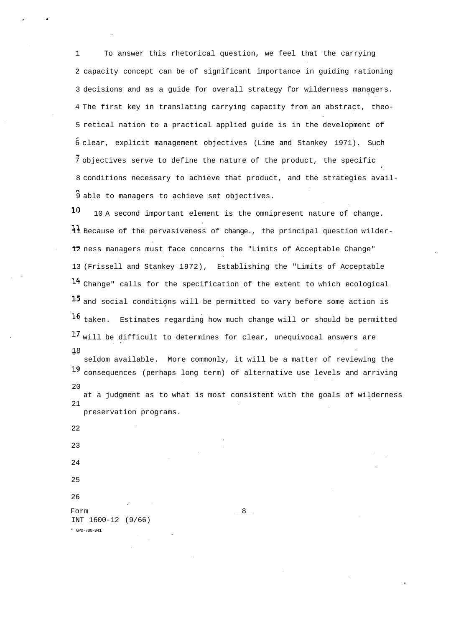1 To answer this rhetorical question, we feel that the carrying 2 capacity concept can be of significant importance in guiding rationing 3 decisions and as a guide for overall strategy for wilderness managers. 4 The first key in translating carrying capacity from an abstract, theo-5 retical nation to a practical applied guide is in the development of 6 clear, explicit management objectives (Lime and Stankey 1971). Such 7 objectives serve to define the nature of the product, the specific 8 conditions necessary to achieve that product, and the strategies avail-9 able to managers to achieve set objectives.

10 10 A second important element is the omnipresent nature of change. 11 Because of the pervasiveness of change., the principal question wilder-12 ness managers must face concerns the "Limits of Acceptable Change" 13 (Frissell and Stankey 1972), Establishing the "Limits of Acceptable 14 Change" calls for the specification of the extent to which ecological 15 and social conditions will be permitted to vary before some action is 16 taken. Estimates regarding how much change will or should be permitted 17 will be difficult to determines for clear, unequivocal answers are 18

seldom available. More commonly, it will be a matter of reviewing the 19 consequences (perhaps long term) of alternative use levels and arriving  $2.0$ at a judgment as to what is most consistent with the goals of wilderness 21 preservation programs.

Form  $\_8\_$ INT 1600-12 (9/66) \* GPO-780-941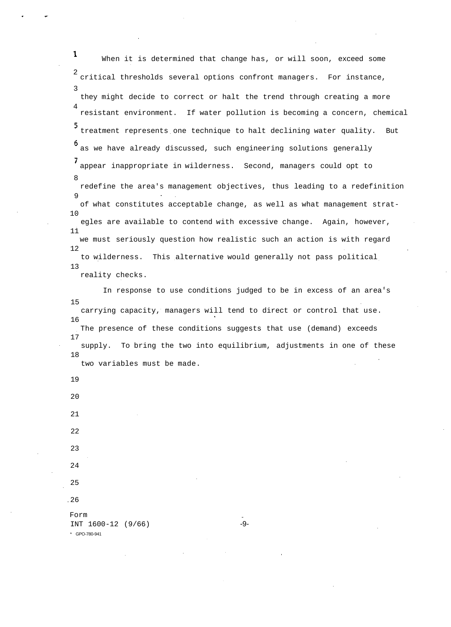$\mathbf{1}$ When it is determined that change has, or will soon, exceed some 2 critical thresholds several options confront managers. For instance, 3 they might decide to correct or halt the trend through creating a more 4 resistant environment. If water pollution is becoming a concern, chemical 5 treatment represents one technique to halt declining water quality. But as we have already discussed, such engineering solutions generally appear inappropriate in wilderness. Second, managers could opt to 8 redefine the area's management objectives, thus leading to a redefinition 9 of what constitutes acceptable change, as well as what management strat-10 egles are available to contend with excessive change. Again, however, 11 we must seriously question how realistic such an action is with regard 12 to wilderness. This alternative would generally not pass political 13 reality checks.

In response to use conditions judged to be in excess of an area's 15 carrying capacity, managers will tend to direct or control that use. 16 The presence of these conditions suggests that use (demand) exceeds 17 supply. To bring the two into equilibrium, adjustments in one of these 18 two variables must be made.

19 20 21 22 23 24 25 26 Form INT 1600-12 (9/66) -9-\* GPO-780-941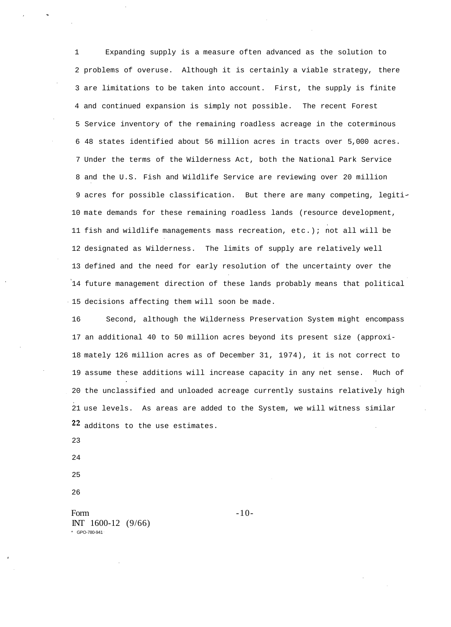1 Expanding supply is a measure often advanced as the solution to 2 problems of overuse. Although it is certainly a viable strategy, there 3 are limitations to be taken into account. First, the supply is finite 4 and continued expansion is simply not possible. The recent Forest 5 Service inventory of the remaining roadless acreage in the coterminous 6 48 states identified about 56 million acres in tracts over 5,000 acres. 7 Under the terms of the Wilderness Act, both the National Park Service 8 and the U.S. Fish and Wildlife Service are reviewing over 20 million 9 acres for possible classification. But there are many competing, legiti-10 mate demands for these remaining roadless lands (resource development, 11 fish and wildlife managements mass recreation, etc.); not all will be 12 designated as Wilderness. The limits of supply are relatively well 13 defined and the need for early resolution of the uncertainty over the 14 future management direction of these lands probably means that political 15 decisions affecting them will soon be made.

16 Second, although the Wilderness Preservation System might encompass 17 an additional 40 to 50 million acres beyond its present size (approxi-18 mately 126 million acres as of December 31, 1974), it is not correct to 19 assume these additions will increase capacity in any net sense. Much of 20 the unclassified and unloaded acreage currently sustains relatively high 21 use levels. As areas are added to the System, we will witness similar 22 additons to the use estimates.

23

24

25

26

Form  $-10$ INT 1600-12 (9/66) \* GPO-780-941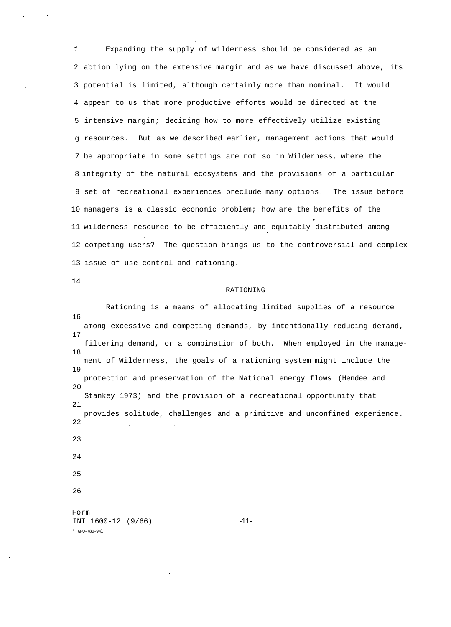1 Expanding the supply of wilderness should be considered as an 2 action lying on the extensive margin and as we have discussed above, its 3 potential is limited, although certainly more than nominal. It would 4 appear to us that more productive efforts would be directed at the 5 intensive margin; deciding how to more effectively utilize existing g resources. But as we described earlier, management actions that would 7 be appropriate in some settings are not so in Wilderness, where the 8 integrity of the natural ecosystems and the provisions of a particular 9 set of recreational experiences preclude many options. The issue before 10 managers is a classic economic problem; how are the benefits of the 11 wilderness resource to be efficiently and equitably distributed among 12 competing users? The question brings us to the controversial and complex 13 issue of use control and rationing.

14

### RATIONING

Rationing is a means of allocating limited supplies of a resource 16 among excessive and competing demands, by intentionally reducing demand, 17 filtering demand, or a combination of both. When employed in the manage-18 ment of Wilderness, the goals of a rationing system might include the 19 protection and preservation of the National energy flows (Hendee and  $20$ Stankey 1973) and the provision of a recreational opportunity that 21 provides solitude, challenges and a primitive and unconfined experience. 22 23 24 25 26 Form

INT 1600-12 (9/66) -11- \* GPO-780-94l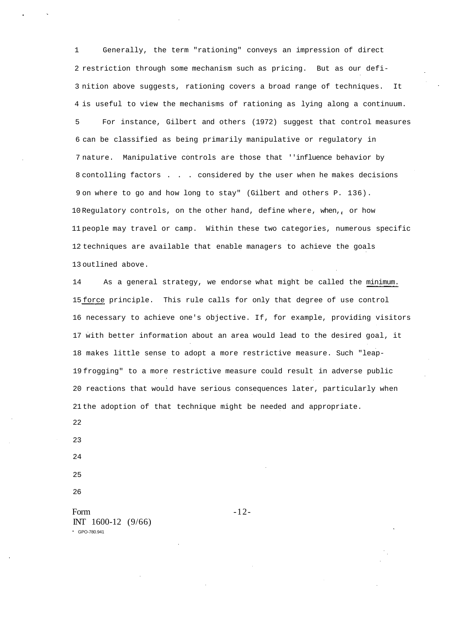1 Generally, the term "rationing" conveys an impression of direct 2 restriction through some mechanism such as pricing. But as our defi-3 nition above suggests, rationing covers a broad range of techniques. It 4 is useful to view the mechanisms of rationing as lying along a continuum.

5 For instance, Gilbert and others (1972) suggest that control measures 6 can be classified as being primarily manipulative or regulatory in 7 nature. Manipulative controls are those that ''influence behavior by 8 contolling factors . . . considered by the user when he makes decisions 9 on where to go and how long to stay" (Gilbert and others P. 136). 10 Regulatory controls, on the other hand, define where, when,, or how 11 people may travel or camp. Within these two categories, numerous specific 12 techniques are available that enable managers to achieve the goals 13 outlined above.

14 As a general strategy, we endorse what might be called the minimum. 15 force principle. This rule calls for only that degree of use control 16 necessary to achieve one's objective. If, for example, providing visitors 17 with better information about an area would lead to the desired goal, it 18 makes little sense to adopt a more restrictive measure. Such "leap-19 frogging" to a more restrictive measure could result in adverse public 20 reactions that would have serious consequences later, particularly when 21 the adoption of that technique might be needed and appropriate.

22

23

24

25

26

Form  $-12$ -INT 1600-12 (9/66) \* GPO-780.941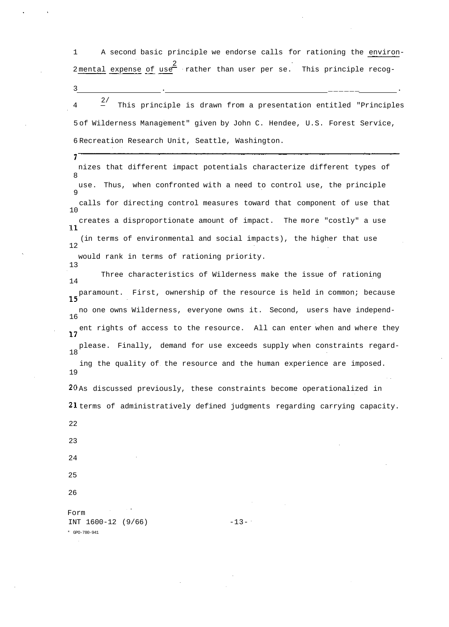1 A second basic principle we endorse calls for rationing the environ-2 2 mental expense of use rather than user per se. This principle recog-

3 . \_\_\_\_\_\_ .

2/ 4 — This principle is drawn from a presentation entitled "Principles 5 of Wilderness Management" given by John C. Hendee, U.S. Forest Service, 6 Recreation Research Unit, Seattle, Washington.

nizes that different impact potentials characterize different types of 8 use. Thus, when confronted with a need to control use, the principle 9 calls for directing control measures toward that component of use that 10 creates a disproportionate amount of impact. The more "costly" a use  $11$ (in terms of environmental and social impacts), the higher that use 12 would rank in terms of rationing priority.

Three characteristics of Wilderness make the issue of rationing 14 paramount. First, ownership of the resource is held in common; because no one owns Wilderness, everyone owns it. Second, users have independ-16 ent rights of access to the resource. All can enter when and where they please. Finally, demand for use exceeds supply when constraints regard-18 ing the quality of the resource and the human experience are imposed. 19 20 As discussed previously, these constraints become operationalized in 21 terms of administratively defined judgments regarding carrying capacity.

22

13

7

23

24

25

26

Form  $INT 1600-12 (9/66)$   $-13-$ \* GPO-780-941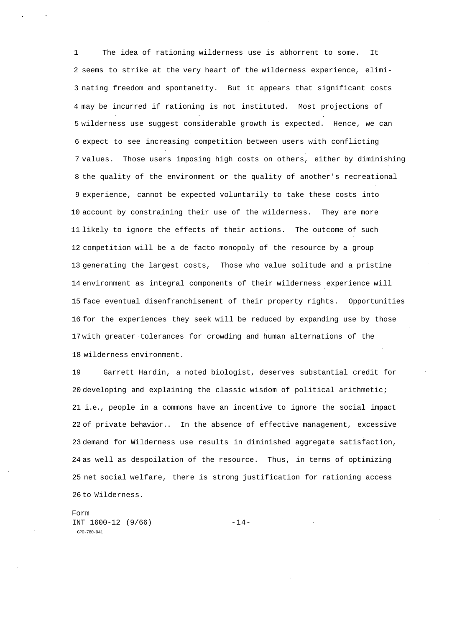1 The idea of rationing wilderness use is abhorrent to some. It 2 seems to strike at the very heart of the wilderness experience, elimi-3 nating freedom and spontaneity. But it appears that significant costs 4 may be incurred if rationing is not instituted. Most projections of 5 wilderness use suggest considerable growth is expected. Hence, we can 6 expect to see increasing competition between users with conflicting 7 values. Those users imposing high costs on others, either by diminishing 8 the quality of the environment or the quality of another's recreational 9 experience, cannot be expected voluntarily to take these costs into 10 account by constraining their use of the wilderness. They are more 11 likely to ignore the effects of their actions. The outcome of such 12 competition will be a de facto monopoly of the resource by a group 13 generating the largest costs, Those who value solitude and a pristine 14 environment as integral components of their wilderness experience will 15 face eventual disenfranchisement of their property rights. Opportunities 16 for the experiences they seek will be reduced by expanding use by those 17 with greater tolerances for crowding and human alternations of the 18 wilderness environment.

19 Garrett Hardin, a noted biologist, deserves substantial credit for 20 developing and explaining the classic wisdom of political arithmetic; 21 i.e., people in a commons have an incentive to ignore the social impact 22 of private behavior.. In the absence of effective management, excessive 23 demand for Wilderness use results in diminished aggregate satisfaction, 24 as well as despoilation of the resource. Thus, in terms of optimizing 25 net social welfare, there is strong justification for rationing access 26 to Wilderness.

Form INT  $1600-12$  (9/66)  $-14-$ GPO-780-941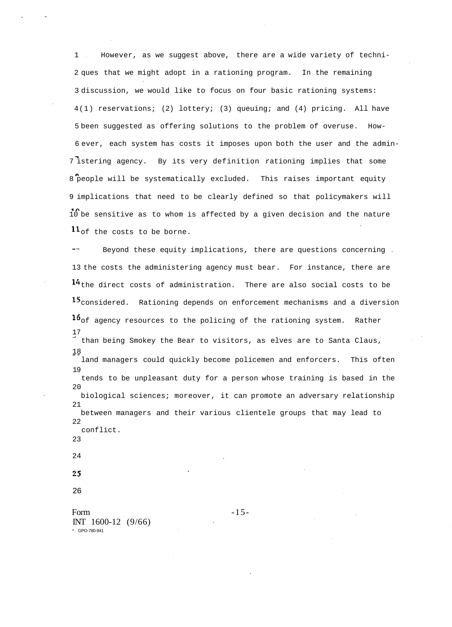1 However, as we suggest above, there are a wide variety of techni-2 ques that we might adopt in a rationing program. In the remaining 3 discussion, we would like to focus on four basic rationing systems: 4(1) reservations; (2) lottery; (3) queuing; and (4) pricing. All have 5 been suggested as offering solutions to the problem of overuse. How-6 ever, each system has costs it imposes upon both the user and the admin-7 istering agency. By its very definition rationing implies that some 8 people will be systematically excluded. This raises important equity 9 implications that need to be clearly defined so that policymakers will 10 be sensitive as to whom is affected by a given decision and the nature  $11_{\text{of}}$  the costs to be borne.

Beyond these equity implications, there are questions concerning 13 the costs the administering agency must bear. For instance, there are  $14$ <sub>the direct costs of administration. There are also social costs to be</sub> 15 considered. Rationing depends on enforcement mechanisms and a diversion  $16$ <sub>of agency resources to the policing of the rationing system. Rather</sub> 17 than being Smokey the Bear to visitors, as elves are to Santa Claus, 18 land managers could quickly become policemen and enforcers. This often 19 tends to be unpleasant duty for a person whose training is based in the  $2.0$ biological sciences; moreover, it can promote an adversary relationship 21 between managers and their various clientele groups that may lead to 22 conflict. 23 24 25

- 
- 26

Form  $-15$ -INT 1600-12 (9/66) \* GPO-780-941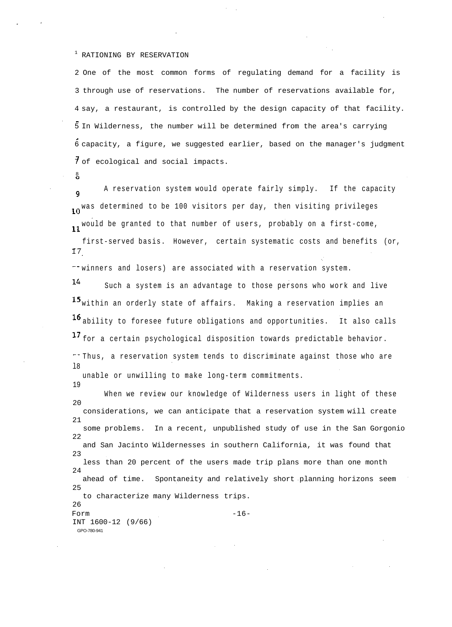## <sup>1</sup> RATIONING BY RESERVATION

2 One of the most common forms of regulating demand for a facility is 3 through use of reservations. The number of reservations available for, 4 say, a restaurant, is controlled by the design capacity of that facility. 5 In Wilderness, the number will be determined from the area's carrying 6 capacity, a figure, we suggested earlier, based on the manager's judgment  $\overline{7}$  of ecological and social impacts.

8

19

A reservation system would operate fairly simply. If the capacity  $\alpha$ 10<sup>Was determined to be 100</sup> visitors per day, then visiting privileges 11 would be granted to that number of users, probably on a first-come, first-served basis. However, certain systematic costs and benefits (or, 1 7

 $\sim$  winners and losers) are associated with a reservation system.

14 Such a system is an advantage to those persons who work and live 15 within an orderly state of affairs. Making a reservation implies an 16 ability to foresee future obligations and opportunities. It also calls 17 for a certain psychological disposition towards predictable behavior. Thus, a reservation system tends to discriminate against those who are l8 unable or unwilling to make long-term commitments.

When we review our knowledge of Wilderness users in light of these 20 considerations, we can anticipate that a reservation system will create 21 some problems. In a recent, unpublished study of use in the San Gorgonio 22 and San Jacinto Wildernesses in southern California, it was found that  $23$ less than 20 percent of the users made trip plans more than one month 24 ahead of time. Spontaneity and relatively short planning horizons seem 25 to characterize many Wilderness trips.  $26$ Form  $-16$ -INT 1600-12 (9/66) GPO-780-941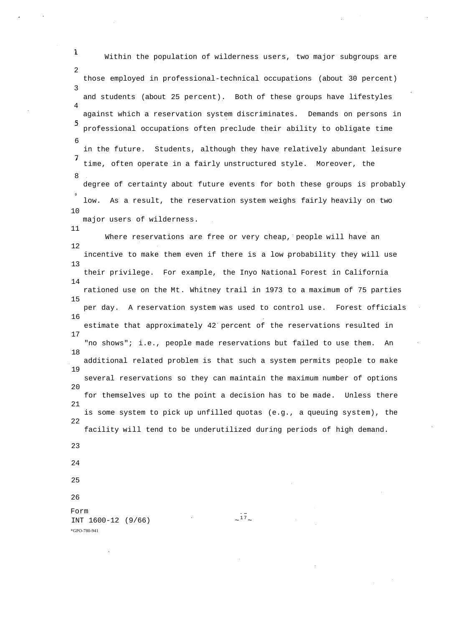1 Within the population of wilderness users, two major subgroups are  $\mathcal{D}$ those employed in professional-technical occupations (about 30 percent) 3 and students (about 25 percent). Both of these groups have lifestyles 4 against which a reservation system discriminates. Demands on persons in 5 professional occupations often preclude their ability to obligate time 6 in the future. Students, although they have relatively abundant leisure  $\overline{7}$ time, often operate in a fairly unstructured style. Moreover, the 8 degree of certainty about future events for both these groups is probably 9 low. As a result, the reservation system weighs fairly heavily on two 10 major users of wilderness. 11 Where reservations are free or very cheap, people will have an 12 incentive to make them even if there is a low probability they will use 13 their privilege. For example, the Inyo National Forest in California 14 rationed use on the Mt. Whitney trail in 1973 to a maximum of 75 parties 15 per day. A reservation system was used to control use. Forest officials 16 estimate that approximately 42 percent of the reservations resulted in 17 "no shows"; i.e., people made reservations but failed to use them. An 18 additional related problem is that such a system permits people to make 19 several reservations so they can maintain the maximum number of options 20 for themselves up to the point a decision has to be made. Unless there 21 is some system to pick up unfilled quotas (e.g., a queuing system), the 22 facility will tend to be underutilized during periods of high demand. 23 24 25 26 Form  $17$  $INT 1600-12 (9/66)$ \*GPO-780-941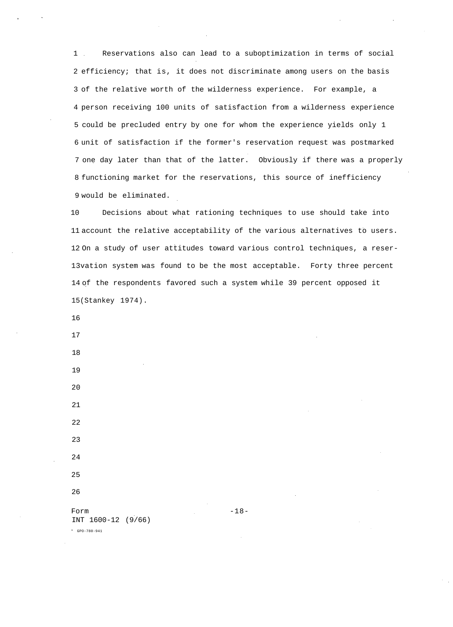1 Reservations also can lead to a suboptimization in terms of social 2 efficiency; that is, it does not discriminate among users on the basis 3 of the relative worth of the wilderness experience. For example, a 4 person receiving 100 units of satisfaction from a wilderness experience 5 could be precluded entry by one for whom the experience yields only 1 6 unit of satisfaction if the former's reservation request was postmarked 7 one day later than that of the latter. Obviously if there was a properly 8 functioning market for the reservations, this source of inefficiency 9 would be eliminated.

10 Decisions about what rationing techniques to use should take into 11 account the relative acceptability of the various alternatives to users. 12 On a study of user attitudes toward various control techniques, a reser-13vation system was found to be the most acceptable. Forty three percent 14 of the respondents favored such a system while 39 percent opposed it 15(Stankey 1974).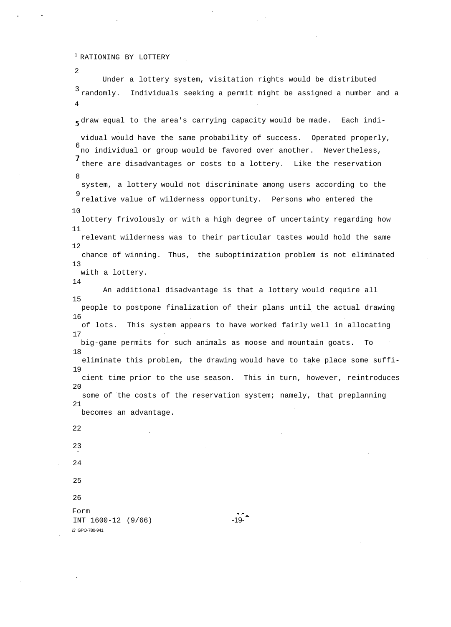<sup>1</sup> RATIONING BY LOTTERY

Under a lottery system, visitation rights would be distributed 3 randomly. Individuals seeking a permit might be assigned a number and a 4 draw equal to the area's carrying capacity would be made. Each individual would have the same probability of success. Operated properly, 6 no individual or group would be favored over another. Nevertheless, there are disadvantages or costs to a lottery. Like the reservation 8 system, a lottery would not discriminate among users according to the 9 relative value of wilderness opportunity. Persons who entered the 10 lottery frivolously or with a high degree of uncertainty regarding how 11 relevant wilderness was to their particular tastes would hold the same 12 chance of winning. Thus, the suboptimization problem is not eliminated 13 with a lottery. 14 An additional disadvantage is that a lottery would require all 15 people to postpone finalization of their plans until the actual drawing 16 of lots. This system appears to have worked fairly well in allocating 17 big-game permits for such animals as moose and mountain goats. To 18 eliminate this problem, the drawing would have to take place some suffi-19 cient time prior to the use season. This in turn, however, reintroduces  $2.0$ some of the costs of the reservation system; namely, that preplanning 21 becomes an advantage. 22 23 24 25 26 Form INT  $1600-12$  (9/66) -19i3 GPO-780-941

2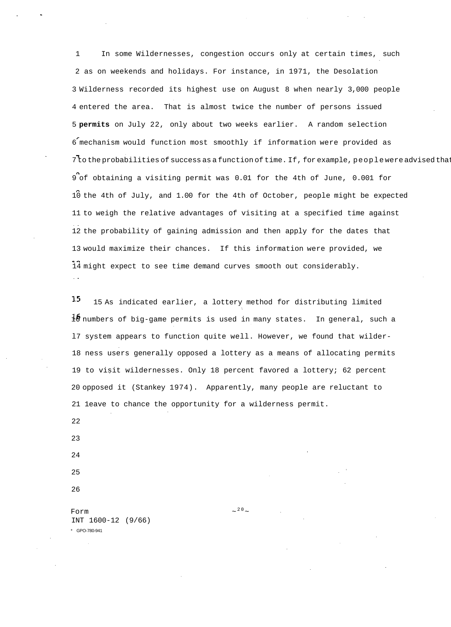1 In some Wildernesses, congestion occurs only at certain times, such 2 as on weekends and holidays. For instance, in 1971, the Desolation 3 Wilderness recorded its highest use on August 8 when nearly 3,000 people 4 entered the area. That is almost twice the number of persons issued 5 **permits** on July 22, only about two weeks earlier. A random selection 6 mechanism would function most smoothly if information were provided as  $7$  to the probabilities of success as a function of time. If, for example, people were advised that 9 of obtaining a visiting permit was 0.01 for the 4th of June, 0.001 for 10 the 4th of July, and 1.00 for the 4th of October, people might be expected 11 to weigh the relative advantages of visiting at a specified time against 12 the probability of gaining admission and then apply for the dates that 13 would maximize their chances. If this information were provided, we 14 might expect to see time demand curves smooth out considerably.

15 15 As indicated earlier, a lottery method for distributing limited 16 numbers of big-game permits is used in many states. In general, such a l7 system appears to function quite well. However, we found that wilder-18 ness users generally opposed a lottery as a means of allocating permits 19 to visit wildernesses. Only 18 percent favored a lottery; 62 percent 20 opposed it (Stankey 1974). Apparently, many people are reluctant to 21 1eave to chance the opportunity for a wilderness permit.

22 23

24

25 26

Form  $\sim$ INT 1600-12 (9/66) \* GPO-780-941

 $20$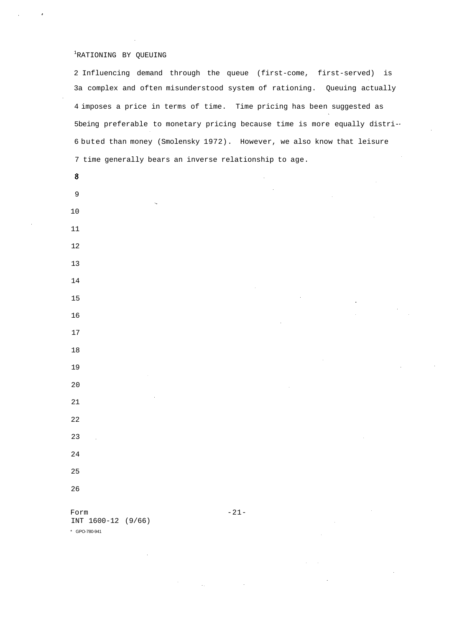# RATIONING BY QUEUING

2 Influencing demand through the queue (first-come, first-served) is 3a complex and often misunderstood system of rationing. Queuing actually 4 imposes a price in terms of time. Time pricing has been suggested as 5being preferable to monetary pricing because time is more equally distri-6 buted than money (Smolensky 1972). However, we also know that leisure 7 time generally bears an inverse relationship to age.

| $\bm{8}$                   |        | $\hat{\boldsymbol{\gamma}}$ |           |                     |
|----------------------------|--------|-----------------------------|-----------|---------------------|
| $\overline{9}$             |        |                             |           |                     |
| $\epsilon_{\rm m}$<br>$10$ |        |                             |           |                     |
| $11\,$                     |        |                             |           |                     |
| $12\,$                     |        |                             |           |                     |
| $13$                       |        |                             |           |                     |
| $14$                       |        |                             |           |                     |
| 15                         |        |                             |           |                     |
| 16                         |        |                             |           |                     |
| $17\,$                     |        |                             |           |                     |
| $18\,$                     |        |                             |           |                     |
| 19                         |        |                             |           | $\hat{\mathcal{A}}$ |
| 20                         |        |                             |           |                     |
| $21\,$                     |        |                             |           |                     |
| $\bf{22}$                  |        |                             |           |                     |
| 23<br>Ŷ.                   |        |                             |           |                     |
| 24                         |        |                             |           |                     |
| 25                         |        |                             |           |                     |
| 26                         |        |                             |           |                     |
| Form                       | $-21-$ |                             | $\bar{z}$ |                     |

INT 1600-12 (9/66) \* GPO-780-941

 $\bar{\tau}_\mathrm{c}$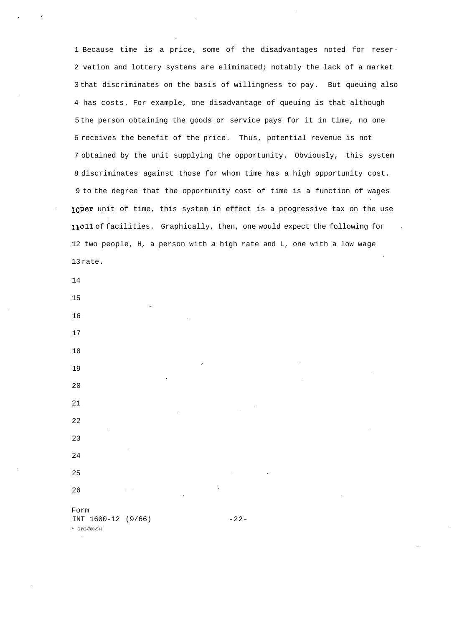1 Because time is a price, some of the disadvantages noted for reser-2 vation and lottery systems are eliminated; notably the lack of a market 3 that discriminates on the basis of willingness to pay. But queuing also 4 has costs. For example, one disadvantage of queuing is that although 5 the person obtaining the goods or service pays for it in time, no one 6 receives the benefit of the price. Thus, potential revenue is not 7 obtained by the unit supplying the opportunity. Obviously, this system 8 discriminates against those for whom time has a high opportunity cost. 9 to the degree that the opportunity cost of time is a function of wages 10Per unit of time, this system in effect is a progressive tax on the use 11011 of facilities. Graphically, then, one would expect the following for 12 two people, H, a person with a high rate and L, one with a low wage 13 rate.

14

15

16

17

- 18
- 19 20
- 21
- 22 23
- 24
- 25 26

Form INT 1600-12 (9/66) -22-*\** GPO-780-941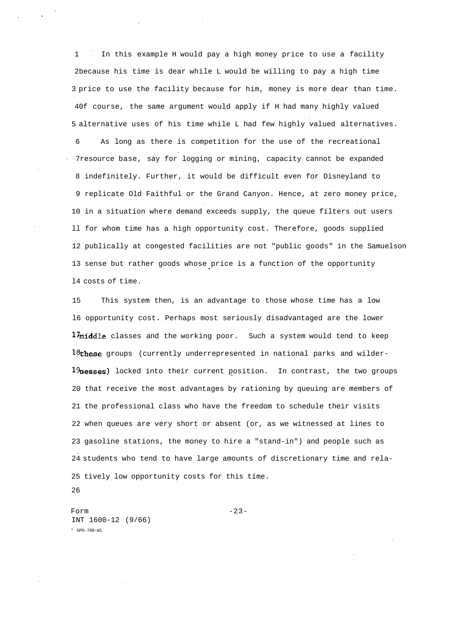1 In this example H would pay a high money price to use a facility 2because his time is dear while L would be willing to pay a high time 3 price to use the facility because for him, money is more dear than time. 40f course, the same argument would apply if H had many highly valued 5 alternative uses of his time while L had few highly valued alternatives. 6 As long as there is competition for the use of the recreational 7resource base, say for logging or mining, capacity cannot be expanded 8 indefinitely. Further, it would be difficult even for Disneyland to 9 replicate Old Faithful or the Grand Canyon. Hence, at zero money price, 10 in a situation where demand exceeds supply, the queue filters out users ll for whom time has a high opportunity cost. Therefore, goods supplied 12 publically at congested facilities are not "public goods" in the Samuelson 13 sense but rather goods whose price is a function of the opportunity l4 costs of time.

15 This system then, is an advantage to those whose time has a low l6 opportunity cost. Perhaps most seriously disadvantaged are the lower 17middle classes and the working poor. Such a system would tend to keep 18these groups (currently underrepresented in national parks and wilder-19nesses) locked into their current position. In contrast, the two groups 20 that receive the most advantages by rationing by queuing are members of 21 the professional class who have the freedom to schedule their visits 22 when queues are very short or absent (or, as we witnessed at lines to 23 gasoline stations, the money to hire a "stand-in") and people such as 24 students who tend to have large amounts of discretionary time and rela-25 tively low opportunity costs for this time.

26

Form  $-23-$ INT 1600-12 (9/66) \* GPO-780-W1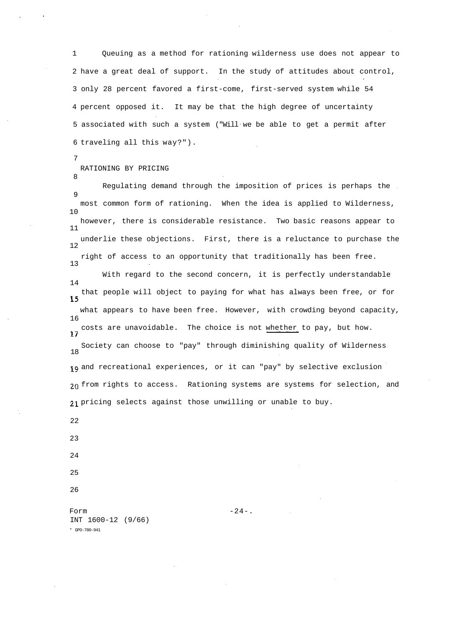1 Queuing as a method for rationing wilderness use does not appear to 2 have a great deal of support. In the study of attitudes about control, 3 only 28 percent favored a first-come, first-served system while 54 4 percent opposed it. It may be that the high degree of uncertainty 5 associated with such a system ("Will we be able to get a permit after 6 traveling all this way?").

7

8

### RATIONING BY PRICING

Regulating demand through the imposition of prices is perhaps the 9 most common form of rationing. When the idea is applied to Wilderness, 10 however, there is considerable resistance. Two basic reasons appear to 11 underlie these objections. First, there is a reluctance to purchase the  $12$ right of access to an opportunity that traditionally has been free. 13

With regard to the second concern, it is perfectly understandable 14 that people will object to paying for what has always been free, or for 15 what appears to have been free. However, with crowding beyond capacity, 16 17 costs are unavoidable. The choice is not whether to pay, but how. Society can choose to "pay" through diminishing quality of Wilderness 18 19 and recreational experiences, or it can "pay" by selective exclusion 20 from rights to access. Rationing systems are systems for selection, and pricing selects against those unwilling or unable to buy.

22

23

- 24
- 25
- 26

Form  $-24-$ . INT 1600-12 (9/66) \* GPO-780-941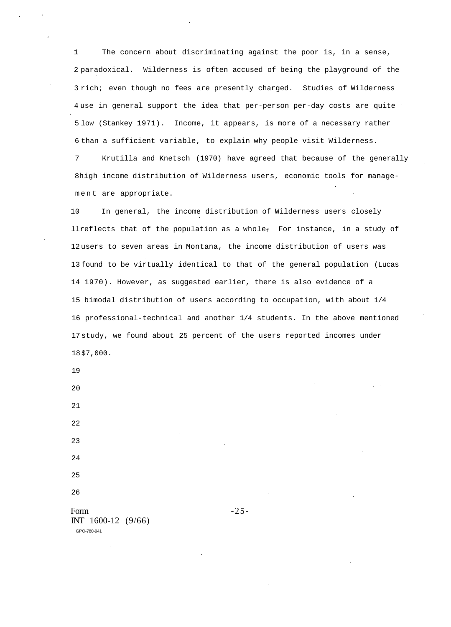1 The concern about discriminating against the poor is, in a sense, 2 paradoxical. Wilderness is often accused of being the playground of the 3 rich; even though no fees are presently charged. Studies of Wilderness 4 use in general support the idea that per-person per-day costs are quite 5 low (Stankey 1971). Income, it appears, is more of a necessary rather 6 than a sufficient variable, to explain why people visit Wilderness.

7 Krutilla and Knetsch (1970) have agreed that because of the generally 8high income distribution of Wilderness users, economic tools for management are appropriate.

10 In general, the income distribution of Wilderness users closely llreflects that of the population as a whole $_f$  For instance, in a study of 12 users to seven areas in Montana, the income distribution of users was 13 found to be virtually identical to that of the general population (Lucas 14 1970). However, as suggested earlier, there is also evidence of a 15 bimodal distribution of users according to occupation, with about 1/4 16 professional-technical and another 1/4 students. In the above mentioned 17 study, we found about 25 percent of the users reported incomes under 18 \$7,000.

19

20

- 
- 25

26

Form  $-25$ -INT 1600-12 (9/66) GPO-780-941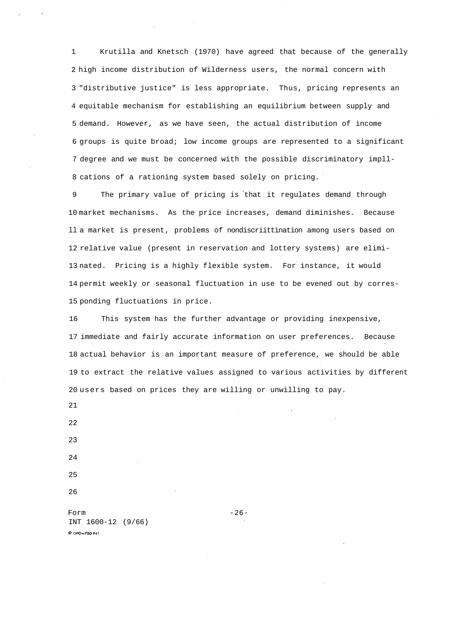1 Krutilla and Knetsch (1970) have agreed that because of the generally 2 high income distribution of Wilderness users, the normal concern with 3 "distributive justice" is less appropriate. Thus, pricing represents an 4 equitable mechanism for establishing an equilibrium between supply and 5 demand. However, as we have seen, the actual distribution of income 6 groups is quite broad; low income groups are represented to a significant 7 degree and we must be concerned with the possible discriminatory impll-8 cations of a rationing system based solely on pricing.

9 The primary value of pricing is that it regulates demand through 10 market mechanisms. As the price increases, demand diminishes. Because ll a market is present, problems of nondiscriittination among users based on 12 relative value (present in reservation and lottery systems) are elimi-13 nated. Pricing is a highly flexible system. For instance, it would 14 permit weekly or seasonal fluctuation in use to be evened out by corres-15 ponding fluctuations in price.

16 This system has the further advantage or providing inexpensive, 17 immediate and fairly accurate information on user preferences. Because 18 actual behavior is an important measure of preference, we should be able 19 to extract the relative values assigned to various activities by different 20 users based on prices they are willing or unwilling to pay.

21

Form  $-26$ INT 1600-12 (9/66)Pr GPO-780-941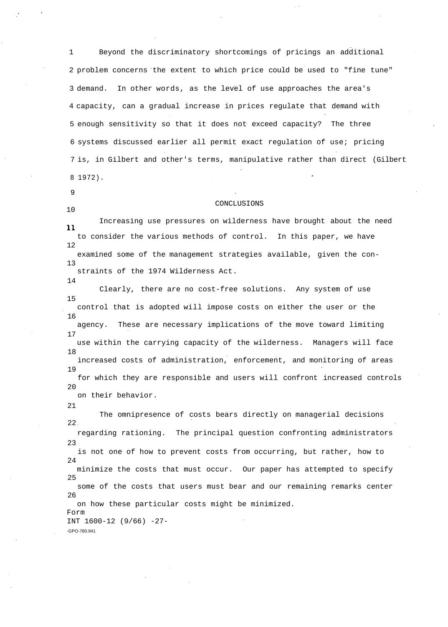1 Beyond the discriminatory shortcomings of pricings an additional 2 problem concerns the extent to which price could be used to "fine tune" 3 demand. In other words, as the level of use approaches the area's 4 capacity, can a gradual increase in prices regulate that demand with 5 enough sensitivity so that it does not exceed capacity? The three 6 systems discussed earlier all permit exact regulation of use; pricing 7 is, in Gilbert and other's terms, manipulative rather than direct (Gilbert 8 1972).

9

10

14

### CONCLUSIONS

Increasing use pressures on wilderness have brought about the need 11. to consider the various methods of control. In this paper, we have 12 examined some of the management strategies available, given the con-13 straints of the 1974 Wilderness Act.

Clearly, there are no cost-free solutions. Any system of use 15 control that is adopted will impose costs on either the user or the 16 agency. These are necessary implications of the move toward limiting 17 use within the carrying capacity of the wilderness. Managers will face 18 increased costs of administration, enforcement, and monitoring of areas 19 for which they are responsible and users will confront increased controls  $2.0$ on their behavior.

21

The omnipresence of costs bears directly on managerial decisions 22 regarding rationing. The principal question confronting administrators 23 is not one of how to prevent costs from occurring, but rather, how to 24 minimize the costs that must occur. Our paper has attempted to specify 25 some of the costs that users must bear and our remaining remarks center 26 on how these particular costs might be minimized. Form INT 1600-12 (9/66) -27- -GPO-780.941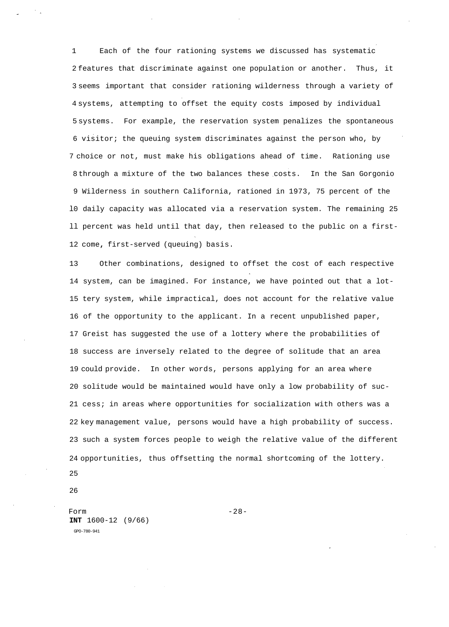1 Each of the four rationing systems we discussed has systematic 2 features that discriminate against one population or another. Thus, it 3 seems important that consider rationing wilderness through a variety of 4 systems, attempting to offset the equity costs imposed by individual 5 systems. For example, the reservation system penalizes the spontaneous 6 visitor; the queuing system discriminates against the person who, by 7 choice or not, must make his obligations ahead of time. Rationing use 8 through a mixture of the two balances these costs. In the San Gorgonio 9 Wilderness in southern California, rationed in 1973, 75 percent of the l0 daily capacity was allocated via a reservation system. The remaining 25 ll percent was held until that day, then released to the public on a first-12 come**,** first-served (queuing) basis.

13 Other combinations, designed to offset the cost of each respective 14 system, can be imagined. For instance, we have pointed out that a lot-15 tery system, while impractical, does not account for the relative value 16 of the opportunity to the applicant. In a recent unpublished paper, 17 Greist has suggested the use of a lottery where the probabilities of 18 success are inversely related to the degree of solitude that an area 19 could provide. In other words, persons applying for an area where 20 solitude would be maintained would have only a low probability of suc-21 cess; in areas where opportunities for socialization with others was a 22 key management value, persons would have a high probability of success. 23 such a system forces people to weigh the relative value of the different 24 opportunities, thus offsetting the normal shortcoming of the lottery. 25

26

Form  $-28$ -**INT** 1600-12 (9/66) GPO-780-941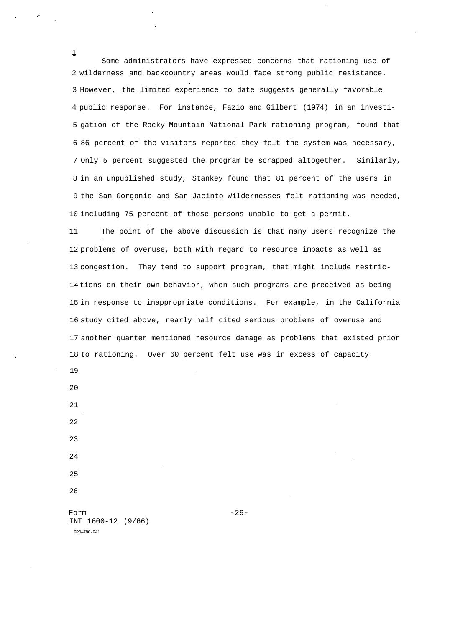Some administrators have expressed concerns that rationing use of 2 wilderness and backcountry areas would face strong public resistance. 3 However, the limited experience to date suggests generally favorable 4 public response. For instance, Fazio and Gilbert (1974) in an investi-5 gation of the Rocky Mountain National Park rationing program, found that 6 86 percent of the visitors reported they felt the system was necessary, 7 Only 5 percent suggested the program be scrapped altogether. Similarly, 8 in an unpublished study, Stankey found that 81 percent of the users in 9 the San Gorgonio and San Jacinto Wildernesses felt rationing was needed, 10 including 75 percent of those persons unable to get a permit.

11 The point of the above discussion is that many users recognize the 12 problems of overuse, both with regard to resource impacts as well as 13 congestion. They tend to support program, that might include restric-14 tions on their own behavior, when such programs are preceived as being 15 in response to inappropriate conditions. For example, in the California 16 study cited above, nearly half cited serious problems of overuse and 17 another quarter mentioned resource damage as problems that existed prior 18 to rationing. Over 60 percent felt use was in excess of capacity.

19 20

1

21

22

23 24

- 25
- 26

Form  $-29-$ INT 1600-12 (9/66) GPO—780-941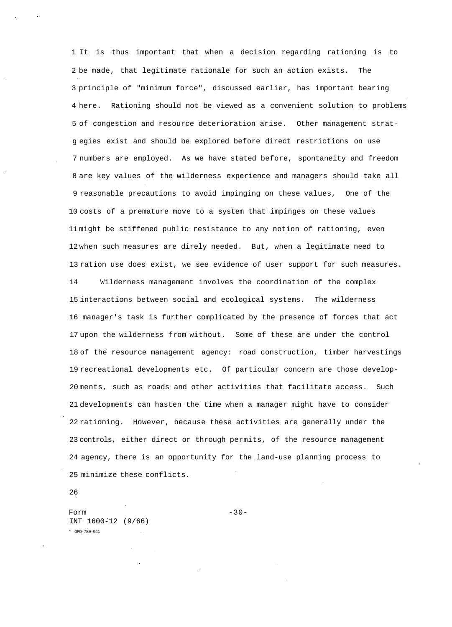1 It is thus important that when a decision regarding rationing is to 2 be made, that legitimate rationale for such an action exists. The 3 principle of "minimum force", discussed earlier, has important bearing 4 here. Rationing should not be viewed as a convenient solution to problems 5 of congestion and resource deterioration arise. Other management stratg egies exist and should be explored before direct restrictions on use 7 numbers are employed. As we have stated before, spontaneity and freedom 8 are key values of the wilderness experience and managers should take all 9 reasonable precautions to avoid impinging on these values, One of the 10 costs of a premature move to a system that impinges on these values 11 might be stiffened public resistance to any notion of rationing, even 12 when such measures are direly needed. But, when a legitimate need to 13 ration use does exist, we see evidence of user support for such measures.

14 Wilderness management involves the coordination of the complex 15 interactions between social and ecological systems. The wilderness 16 manager's task is further complicated by the presence of forces that act 17 upon the wilderness from without. Some of these are under the control 18 of the resource management agency: road construction, timber harvestings 19 recreational developments etc. Of particular concern are those develop-20 ments, such as roads and other activities that facilitate access. Such 21 developments can hasten the time when a manager might have to consider 22 rationing. However, because these activities are generally under the 23 controls, either direct or through permits, of the resource management 24 agency, there is an opportunity for the land-use planning process to 25 minimize these conflicts.

26

Form  $-30-$ INT 1600-12 (9/66) \* GPO-780-941